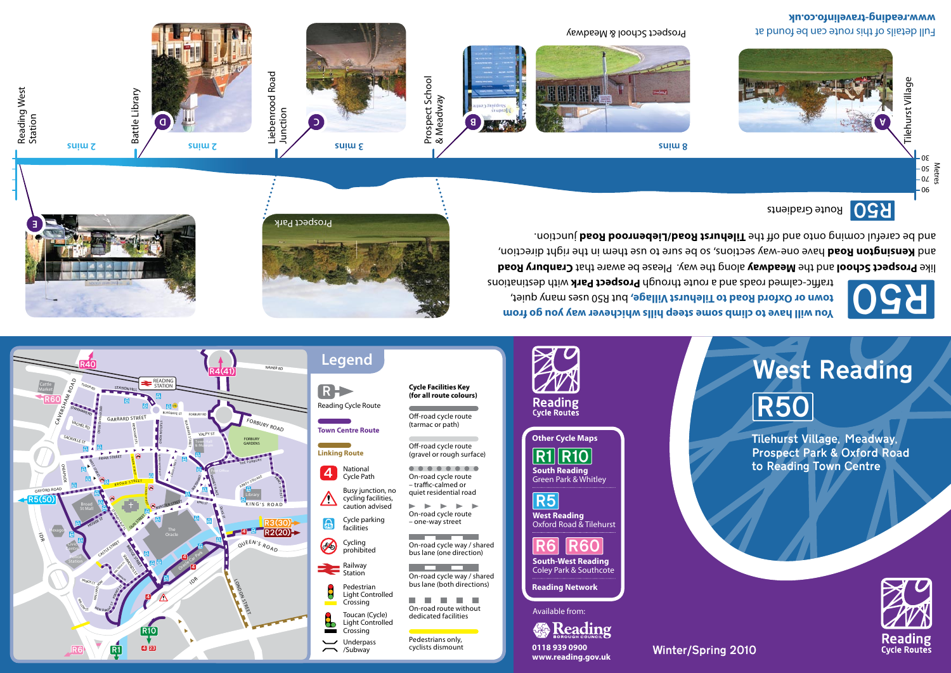

|                    |                                                                        | <b>Cycle Facilities Key</b><br>(for all route colours)                                                          |
|--------------------|------------------------------------------------------------------------|-----------------------------------------------------------------------------------------------------------------|
| eading Cycle Route |                                                                        |                                                                                                                 |
| own Centre Route   |                                                                        | Off-road cycle route<br>(tarmac or path)                                                                        |
| nking Route        |                                                                        | Off-road cycle route<br>(gravel or rough surface)                                                               |
|                    | National<br>Cycle Path                                                 | On-road cycle route<br>- traffic-calmed or<br>quiet residential road<br>On-road cycle route<br>- one-way street |
|                    | Busy junction, no<br>cycling facilities,<br>caution advised            |                                                                                                                 |
|                    | Cycle parking<br>facilities                                            |                                                                                                                 |
|                    | Cycling<br>prohibited                                                  | On-road cycle way / shared<br>bus lane (one direction)                                                          |
|                    | Railway<br>Station                                                     | On-road cycle way / shared<br>bus lane (both directions)<br>On-road route without                               |
|                    | Pedestrian<br>Light Controlled<br>Crossing                             |                                                                                                                 |
|                    | Toucan (Cycle)<br>dedicated facilities<br>Light Controlled<br>Crossing |                                                                                                                 |
|                    | Underpass<br>/Subway                                                   | Pedestrians only,<br>cyclists dismount                                                                          |
|                    |                                                                        |                                                                                                                 |

<u>R6 R60</u> **South-West Reading**  Coley Park & Southcote **Reading Network** Available from: **※Reading** 

> /Subway **0118 939 0900 www.reading.gov.uk**

**West Reading**  Oxford Road & Tilehurst R5

**South Reading**  Green Park & Whitley  $R1$  $R10$ 

**Other Cycle Maps**

**Reading**<br>Cycle Routes



Tilehurst Village, Meadway, Prospect Park & Oxford Road to Reading Town Centre

**You will have to climb some steep hills whichever way you go from**  town or Oxford Road to Tilehurst Village, but R50 uses many quiet, traffic-calmed roads and a route through Prospect Park with destinations



**Reading**<br>Cycle Routes

like **Prospect School** and the Meadway along the way. Please be aware that Cranbury Road and **kensington Road** have one-way sections, so be sure to use them in the right direction, and be careful coming onto and off the **Tilehurst Road/Liebenrood Road** junction.

Winter/Spring 2010

R50 Route Gradients





Full details of this route can be found at **www.reading-travelinfo.co.uk**







Reading West Reading West<br>Station



Liebenrood Road Liebenrood Road<br>Junction







**D C B A**

Prospect School & Meadway

Tilehurst Village Tilehurst Village